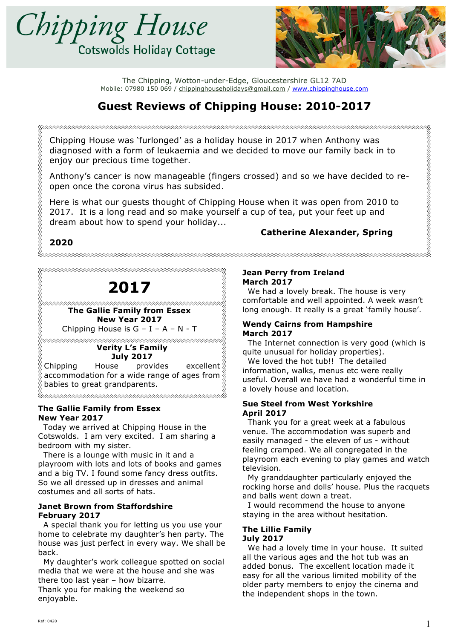



# **Guest Reviews of Chipping House: 2010-2017**

Chipping House was 'furlonged' as a holiday house in 2017 when Anthony was diagnosed with a form of leukaemia and we decided to move our family back in to enjoy our precious time together.

Anthony's cancer is now manageable (fingers crossed) and so we have decided to reopen once the corona virus has subsided.

Here is what our guests thought of Chipping House when it was open from 2010 to 2017. It is a long read and so make yourself a cup of tea, put your feet up and dream about how to spend your holiday...

### **Catherine Alexander, Spring 2020**



Cotswolds. I am very excited. I am sharing a bedroom with my sister.

 There is a lounge with music in it and a playroom with lots and lots of books and games and a big TV. I found some fancy dress outfits. So we all dressed up in dresses and animal costumes and all sorts of hats.

#### **Janet Brown from Staffordshire February 2017**

 A special thank you for letting us you use your home to celebrate my daughter's hen party. The house was just perfect in every way. We shall be back.

 My daughter's work colleague spotted on social media that we were at the house and she was there too last year – how bizarre.

Thank you for making the weekend so enjoyable.

#### **Jean Perry from Ireland March 2017**

 We had a lovely break. The house is very comfortable and well appointed. A week wasn't long enough. It really is a great 'family house'.

#### **Wendy Cairns from Hampshire March 2017**

 The Internet connection is very good (which is quite unusual for holiday properties).

We loved the hot tub!! The detailed information, walks, menus etc were really useful. Overall we have had a wonderful time in a lovely house and location.

#### **Sue Steel from West Yorkshire April 2017**

 Thank you for a great week at a fabulous venue. The accommodation was superb and easily managed - the eleven of us - without feeling cramped. We all congregated in the playroom each evening to play games and watch television.

 My granddaughter particularly enjoyed the rocking horse and dolls' house. Plus the racquets and balls went down a treat.

 I would recommend the house to anyone staying in the area without hesitation.

#### **The Lillie Family July 2017**

 We had a lovely time in your house. It suited all the various ages and the hot tub was an added bonus. The excellent location made it easy for all the various limited mobility of the older party members to enjoy the cinema and the independent shops in the town.

R<br>RARAMANA RARAMANA RARAMANA RARAMANA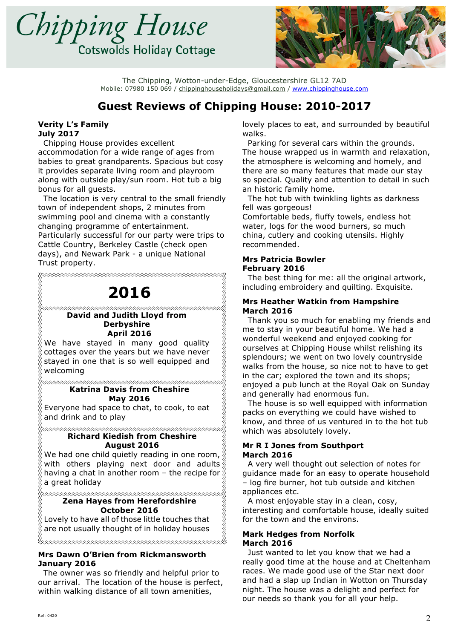



# **Guest Reviews of Chipping House: 2010-2017**

<u>K</u>

### **Verity L's Family July 2017**

 Chipping House provides excellent accommodation for a wide range of ages from babies to great grandparents. Spacious but cosy it provides separate living room and playroom along with outside play/sun room. Hot tub a big bonus for all guests.

 The location is very central to the small friendly town of independent shops, 2 minutes from swimming pool and cinema with a constantly changing programme of entertainment. Particularly successful for our party were trips to Cattle Country, Berkeley Castle (check open days), and Newark Park - a unique National Trust property.

1999-1999 Seria Alander Alander Alander Alander Alander Alander Alander Alander Alander Alander Alander Alande

# **2016**

#### **たたたたたたたたたたたたたんだんだんだんだんたんたんたんたんたんたんたんたんだん David and Judith Lloyd from Derbyshire April 2016**

We have stayed in many good quality cottages over the years but we have never stayed in one that is so well equipped and welcoming

#### **Katrina Davis from Cheshire May 2016**

Everyone had space to chat, to cook, to eat and drink and to play

**xxxxxxxxxxxxxxxxxxxxxxxxxxxxxxxxxx Richard Kiedish from Cheshire August 2016**

We had one child quietly reading in one room, with others playing next door and adults  $\frac{1}{2}$ having a chat in another room – the recipe for  $\frac{2}{3}$ a great holiday

**≈≈≈≈≈≈≈≈≈≈≈≈≈≈≈≈≈≈≈≈≈≈≈≈≈≈≈≈≈≈≈**≈≈ **Zena Hayes from Herefordshire**

#### **October 2016**

\*\*\*\*\*\*\*\*\*\*\*\*\*\*\*\*\*\*\*\*\*\*\*\*\*\*\*\*\*

Lovely to have all of those little touches that are not usually thought of in holiday houses

**Mrs Dawn O'Brien from Rickmansworth**

**January 2016** The owner was so friendly and helpful prior to our arrival. The location of the house is perfect, within walking distance of all town amenities,

lovely places to eat, and surrounded by beautiful walks.

 Parking for several cars within the grounds. The house wrapped us in warmth and relaxation, the atmosphere is welcoming and homely, and there are so many features that made our stay so special. Quality and attention to detail in such an historic family home.

 The hot tub with twinkling lights as darkness fell was gorgeous!

Comfortable beds, fluffy towels, endless hot water, logs for the wood burners, so much china, cutlery and cooking utensils. Highly recommended.

#### **Mrs Patricia Bowler February 2016**

 The best thing for me: all the original artwork, including embroidery and quilting. Exquisite.

#### **Mrs Heather Watkin from Hampshire March 2016**

 Thank you so much for enabling my friends and me to stay in your beautiful home. We had a wonderful weekend and enjoyed cooking for ourselves at Chipping House whilst relishing its splendours; we went on two lovely countryside walks from the house, so nice not to have to get in the car; explored the town and its shops; enjoyed a pub lunch at the Royal Oak on Sunday and generally had enormous fun.

 The house is so well equipped with information packs on everything we could have wished to know, and three of us ventured in to the hot tub which was absolutely lovely.

#### **Mr R I Jones from Southport March 2016**

 A very well thought out selection of notes for guidance made for an easy to operate household – log fire burner, hot tub outside and kitchen appliances etc.

 A most enjoyable stay in a clean, cosy, interesting and comfortable house, ideally suited for the town and the environs.

#### **Mark Hedges from Norfolk March 2016**

 Just wanted to let you know that we had a really good time at the house and at Cheltenham races. We made good use of the Star next door and had a slap up Indian in Wotton on Thursday night. The house was a delight and perfect for our needs so thank you for all your help.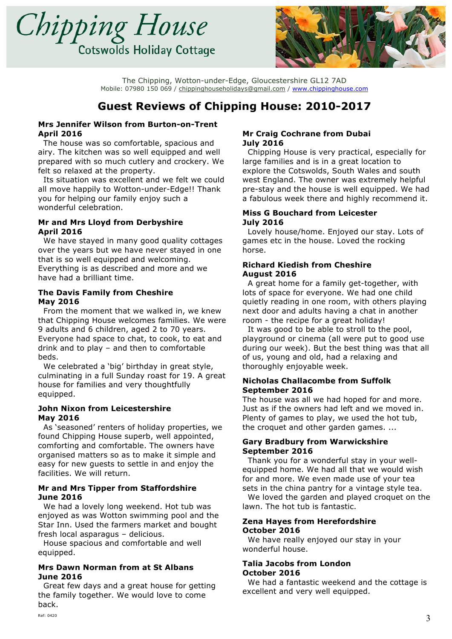



# **Guest Reviews of Chipping House: 2010-2017**

#### **Mrs Jennifer Wilson from Burton-on-Trent April 2016**

 The house was so comfortable, spacious and airy. The kitchen was so well equipped and well prepared with so much cutlery and crockery. We felt so relaxed at the property.

 Its situation was excellent and we felt we could all move happily to Wotton-under-Edge!! Thank you for helping our family enjoy such a wonderful celebration.

#### **Mr and Mrs Lloyd from Derbyshire April 2016**

 We have stayed in many good quality cottages over the years but we have never stayed in one that is so well equipped and welcoming. Everything is as described and more and we have had a brilliant time.

### **The Davis Family from Cheshire May 2016**

 From the moment that we walked in, we knew that Chipping House welcomes families. We were 9 adults and 6 children, aged 2 to 70 years. Everyone had space to chat, to cook, to eat and drink and to play – and then to comfortable beds.

 We celebrated a 'big' birthday in great style, culminating in a full Sunday roast for 19. A great house for families and very thoughtfully equipped.

#### **John Nixon from Leicestershire May 2016**

 As 'seasoned' renters of holiday properties, we found Chipping House superb, well appointed, comforting and comfortable. The owners have organised matters so as to make it simple and easy for new guests to settle in and enjoy the facilities. We will return.

#### **Mr and Mrs Tipper from Staffordshire June 2016**

 We had a lovely long weekend. Hot tub was enjoyed as was Wotton swimming pool and the Star Inn. Used the farmers market and bought fresh local asparagus – delicious.

 House spacious and comfortable and well equipped.

### **Mrs Dawn Norman from at St Albans June 2016**

 Great few days and a great house for getting the family together. We would love to come back.

#### **Mr Craig Cochrane from Dubai July 2016**

 Chipping House is very practical, especially for large families and is in a great location to explore the Cotswolds, South Wales and south west England. The owner was extremely helpful pre-stay and the house is well equipped. We had a fabulous week there and highly recommend it.

#### **Miss G Bouchard from Leicester July 2016**

 Lovely house/home. Enjoyed our stay. Lots of games etc in the house. Loved the rocking horse.

#### **Richard Kiedish from Cheshire August 2016**

 A great home for a family get-together, with lots of space for everyone. We had one child quietly reading in one room, with others playing next door and adults having a chat in another room - the recipe for a great holiday!

 It was good to be able to stroll to the pool, playground or cinema (all were put to good use during our week). But the best thing was that all of us, young and old, had a relaxing and thoroughly enjoyable week.

#### **Nicholas Challacombe from Suffolk September 2016**

The house was all we had hoped for and more. Just as if the owners had left and we moved in. Plenty of games to play, we used the hot tub, the croquet and other garden games. ...

### **Gary Bradbury from Warwickshire September 2016**

 Thank you for a wonderful stay in your wellequipped home. We had all that we would wish for and more. We even made use of your tea sets in the china pantry for a vintage style tea.

 We loved the garden and played croquet on the lawn. The hot tub is fantastic.

#### **Zena Hayes from Herefordshire October 2016**

 We have really enjoyed our stay in your wonderful house.

#### **Talia Jacobs from London October 2016**

 We had a fantastic weekend and the cottage is excellent and very well equipped.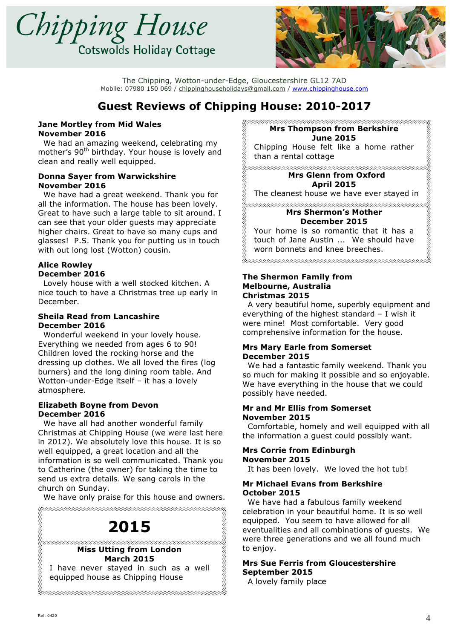



# **Guest Reviews of Chipping House: 2010-2017**

#### **Jane Mortley from Mid Wales November 2016**

 We had an amazing weekend, celebrating my mother's 90<sup>th</sup> birthday. Your house is lovely and clean and really well equipped.

#### **Donna Sayer from Warwickshire November 2016**

 We have had a great weekend. Thank you for all the information. The house has been lovely. Great to have such a large table to sit around. I can see that your older guests may appreciate higher chairs. Great to have so many cups and glasses! P.S. Thank you for putting us in touch with out long lost (Wotton) cousin.

### **Alice Rowley December 2016**

 Lovely house with a well stocked kitchen. A nice touch to have a Christmas tree up early in December.

#### **Sheila Read from Lancashire December 2016**

 Wonderful weekend in your lovely house. Everything we needed from ages 6 to 90! Children loved the rocking horse and the dressing up clothes. We all loved the fires (log burners) and the long dining room table. And Wotton-under-Edge itself – it has a lovely atmosphere.

#### **Elizabeth Boyne from Devon December 2016**

 We have all had another wonderful family Christmas at Chipping House (we were last here in 2012). We absolutely love this house. It is so well equipped, a great location and all the information is so well communicated. Thank you to Catherine (the owner) for taking the time to send us extra details. We sang carols in the church on Sunday.

We have only praise for this house and owners.



**Mrs Thompson from Berkshire June 2015**

Chipping House felt like a home rather than a rental cottage

**Mrs Glenn from Oxford April 2015**

The cleanest house we have ever stayed in

#### **Mrs Shermon's Mother December 2015**

Your home is so romantic that it has a touch of Jane Austin ... We should have worn bonnets and knee breeches.

\*\*\*\*\*\*\*\*\*\*\*\*\*\*\*\*\*\*\*\*\*\*\*\*\*\*\*\*\*\*\*\*\*\*\*

#### **The Shermon Family from Melbourne, Australia Christmas 2015**

 A very beautiful home, superbly equipment and everything of the highest standard – I wish it were mine! Most comfortable. Very good comprehensive information for the house.

#### **Mrs Mary Earle from Somerset December 2015**

 We had a fantastic family weekend. Thank you so much for making it possible and so enjoyable. We have everything in the house that we could possibly have needed.

#### **Mr and Mr Ellis from Somerset November 2015**

 Comfortable, homely and well equipped with all the information a guest could possibly want.

#### **Mrs Corrie from Edinburgh November 2015**

It has been lovely. We loved the hot tub!

#### **Mr Michael Evans from Berkshire October 2015**

 We have had a fabulous family weekend celebration in your beautiful home. It is so well equipped. You seem to have allowed for all eventualities and all combinations of guests. We were three generations and we all found much to enjoy.

### **Mrs Sue Ferris from Gloucestershire September 2015**

A lovely family place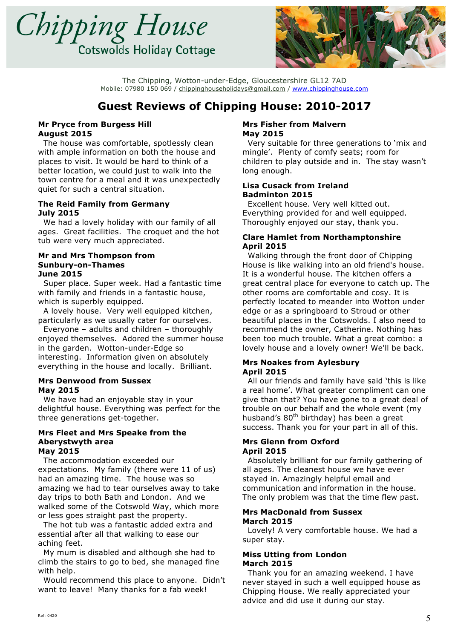



# **Guest Reviews of Chipping House: 2010-2017**

#### **Mr Pryce from Burgess Hill August 2015**

 The house was comfortable, spotlessly clean with ample information on both the house and places to visit. It would be hard to think of a better location, we could just to walk into the town centre for a meal and it was unexpectedly quiet for such a central situation.

#### **The Reid Family from Germany July 2015**

 We had a lovely holiday with our family of all ages. Great facilities. The croquet and the hot tub were very much appreciated.

#### **Mr and Mrs Thompson from Sunbury-on-Thames June 2015**

 Super place. Super week. Had a fantastic time with family and friends in a fantastic house, which is superbly equipped.

 A lovely house. Very well equipped kitchen, particularly as we usually cater for ourselves.

 Everyone – adults and children – thoroughly enjoyed themselves. Adored the summer house in the garden. Wotton-under-Edge so interesting. Information given on absolutely everything in the house and locally. Brilliant.

#### **Mrs Denwood from Sussex May 2015**

 We have had an enjoyable stay in your delightful house. Everything was perfect for the three generations get-together.

#### **Mrs Fleet and Mrs Speake from the Aberystwyth area May 2015**

 The accommodation exceeded our expectations. My family (there were 11 of us) had an amazing time. The house was so amazing we had to tear ourselves away to take day trips to both Bath and London. And we walked some of the Cotswold Way, which more or less goes straight past the property.

 The hot tub was a fantastic added extra and essential after all that walking to ease our aching feet.

 My mum is disabled and although she had to climb the stairs to go to bed, she managed fine with help.

 Would recommend this place to anyone. Didn't want to leave! Many thanks for a fab week!

#### **Mrs Fisher from Malvern May 2015**

 Very suitable for three generations to 'mix and mingle'. Plenty of comfy seats; room for children to play outside and in. The stay wasn't long enough.

#### **Lisa Cusack from Ireland Badminton 2015**

 Excellent house. Very well kitted out. Everything provided for and well equipped. Thoroughly enjoyed our stay, thank you.

### **Clare Hamlet from Northamptonshire April 2015**

 Walking through the front door of Chipping House is like walking into an old friend's house. It is a wonderful house. The kitchen offers a great central place for everyone to catch up. The other rooms are comfortable and cosy. It is perfectly located to meander into Wotton under edge or as a springboard to Stroud or other beautiful places in the Cotswolds. I also need to recommend the owner, Catherine. Nothing has been too much trouble. What a great combo: a lovely house and a lovely owner! We'll be back.

#### **Mrs Noakes from Aylesbury April 2015**

 All our friends and family have said 'this is like a real home'. What greater compliment can one give than that? You have gone to a great deal of trouble on our behalf and the whole event (my husband's  $80<sup>th</sup>$  birthday) has been a great success. Thank you for your part in all of this.

#### **Mrs Glenn from Oxford April 2015**

 Absolutely brilliant for our family gathering of all ages. The cleanest house we have ever stayed in. Amazingly helpful email and communication and information in the house. The only problem was that the time flew past.

#### **Mrs MacDonald from Sussex March 2015**

 Lovely! A very comfortable house. We had a super stay.

### **Miss Utting from London March 2015**

 Thank you for an amazing weekend. I have never stayed in such a well equipped house as Chipping House. We really appreciated your advice and did use it during our stay.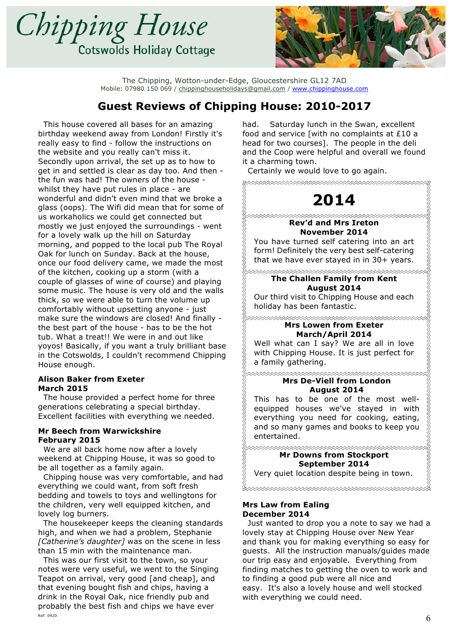



### **Guest Reviews of Chipping House: 2010-2017**

 This house covered all bases for an amazing birthday weekend away from London! Firstly it's really easy to find - follow the instructions on the website and you really can't miss it. Secondly upon arrival, the set up as to how to get in and settled is clear as day too. And then the fun was had! The owners of the house whilst they have put rules in place - are wonderful and didn't even mind that we broke a glass (oops). The Wifi did mean that for some of us workaholics we could get connected but mostly we just enjoyed the surroundings - went for a lovely walk up the hill on Saturday morning, and popped to the local pub The Royal Oak for lunch on Sunday. Back at the house, once our food delivery came, we made the most of the kitchen, cooking up a storm (with a couple of glasses of wine of course) and playing some music. The house is very old and the walls thick, so we were able to turn the volume up comfortably without upsetting anyone - just make sure the windows are closed! And finally the best part of the house - has to be the hot tub. What a treat!! We were in and out like yoyos! Basically, if you want a truly brilliant base in the Cotswolds, I couldn't recommend Chipping House enough.

#### **Alison Baker from Exeter March 2015**

 The house provided a perfect home for three generations celebrating a special birthday. Excellent facilities with everything we needed.

#### **Mr Beech from Warwickshire February 2015**

 We are all back home now after a lovely weekend at Chipping House, it was so good to be all together as a family again.

 Chipping house was very comfortable, and had everything we could want, from soft fresh bedding and towels to toys and wellingtons for the children, very well equipped kitchen, and lovely log burners.

 The housekeeper keeps the cleaning standards high, and when we had a problem, Stephanie *[Catherine's daughter]* was on the scene in less than 15 min with the maintenance man.

Ref: 0420  $\sim$  This was our first visit to the town, so your notes were very useful, we went to the Singing Teapot on arrival, very good [and cheap], and that evening bought fish and chips, having a drink in the Royal Oak, nice friendly pub and probably the best fish and chips we have ever

had. Saturday lunch in the Swan, excellent food and service [with no complaints at £10 a head for two courses]. The people in the deli and the Coop were helpful and overall we found it a charming town.

Certainly we would love to go again.

\*\*\*\*\*\*\*\*\*\*\*\*\*\*\*\*\*\*\*\*\*\*\*\*\*\*\*\*\*\*\*\*\*\*\*\*\* RRARA RAMA **2014 Rev'd and Mrs Ireton November 2014** You have turned self catering into an art form! Definitely the very best self-catering that we have ever stayed in in 30+ years. ∞∞∞∞∞∞∞∞∞∞∞∞∞∞∞∞∞∞∞∞∞∞∞∞∞∞∞∞∞∞ **The Challen Family from Kent August 2014** Our third visit to Chipping House and each holiday has been fantastic. **Mrs Lowen from Exeter March/April 2014** Well what can I say? We are all in love with Chipping House. It is just perfect for a family gathering. **xxxxxxxxxxxxxxxxxxxxxxxxxxxxxxxxxx Mrs De-Viell from London August 2014** This has to be one of the most wellequipped houses we've stayed in with everything you need for cooking, eating, and so many games and books to keep you entertained. **∞∞∞∞∞∞∞∞∞∞∞∞∞∞∞∞∞∞∞∞∞∞∞∞∞∞∞∞ Mr Downs from Stockport September 2014** Very quiet location despite being in town. ∞∞∞∞∞∞∞∞∞∞∞∞∞∞∞∞∞∞∞∞∞∞∞∞∞∞∞∞∞∞

#### **Mrs Law from Ealing December 2014**

 Just wanted to drop you a note to say we had a lovely stay at Chipping House over New Year and thank you for making everything so easy for guests. All the instruction manuals/guides made our trip easy and enjoyable. Everything from finding matches to getting the oven to work and to finding a good pub were all nice and easy. It's also a lovely house and well stocked with everything we could need.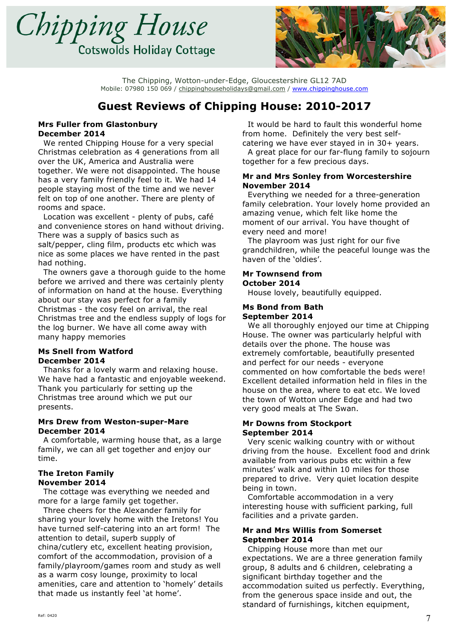



# **Guest Reviews of Chipping House: 2010-2017**

#### **Mrs Fuller from Glastonbury December 2014**

 We rented Chipping House for a very special Christmas celebration as 4 generations from all over the UK, America and Australia were together. We were not disappointed. The house has a very family friendly feel to it. We had 14 people staying most of the time and we never felt on top of one another. There are plenty of rooms and space.

 Location was excellent - plenty of pubs, café and convenience stores on hand without driving. There was a supply of basics such as salt/pepper, cling film, products etc which was nice as some places we have rented in the past had nothing.

 The owners gave a thorough guide to the home before we arrived and there was certainly plenty of information on hand at the house. Everything about our stay was perfect for a family Christmas - the cosy feel on arrival, the real Christmas tree and the endless supply of logs for the log burner. We have all come away with many happy memories

#### **Ms Snell from Watford December 2014**

 Thanks for a lovely warm and relaxing house. We have had a fantastic and enjoyable weekend. Thank you particularly for setting up the Christmas tree around which we put our presents.

#### **Mrs Drew from Weston-super-Mare December 2014**

 A comfortable, warming house that, as a large family, we can all get together and enjoy our time.

#### **The Ireton Family November 2014**

 The cottage was everything we needed and more for a large family get together.

 Three cheers for the Alexander family for sharing your lovely home with the Iretons! You have turned self-catering into an art form! The attention to detail, superb supply of china/cutlery etc, excellent heating provision, comfort of the accommodation, provision of a family/playroom/games room and study as well as a warm cosy lounge, proximity to local amenities, care and attention to 'homely' details that made us instantly feel 'at home'.

 It would be hard to fault this wonderful home from home. Definitely the very best selfcatering we have ever stayed in in 30+ years.

 A great place for our far-flung family to sojourn together for a few precious days.

#### **Mr and Mrs Sonley from Worcestershire November 2014**

 Everything we needed for a three-generation family celebration. Your lovely home provided an amazing venue, which felt like home the moment of our arrival. You have thought of every need and more!

 The playroom was just right for our five grandchildren, while the peaceful lounge was the haven of the 'oldies'.

#### **Mr Townsend from October 2014**

House lovely, beautifully equipped.

#### **Ms Bond from Bath September 2014**

 We all thoroughly enjoyed our time at Chipping House. The owner was particularly helpful with details over the phone. The house was extremely comfortable, beautifully presented and perfect for our needs - everyone commented on how comfortable the beds were! Excellent detailed information held in files in the house on the area, where to eat etc. We loved the town of Wotton under Edge and had two very good meals at The Swan.

#### **Mr Downs from Stockport September 2014**

 Very scenic walking country with or without driving from the house. Excellent food and drink available from various pubs etc within a few minutes' walk and within 10 miles for those prepared to drive. Very quiet location despite being in town.

 Comfortable accommodation in a very interesting house with sufficient parking, full facilities and a private garden.

### **Mr and Mrs Willis from Somerset September 2014**

 Chipping House more than met our expectations. We are a three generation family group, 8 adults and 6 children, celebrating a significant birthday together and the accommodation suited us perfectly. Everything, from the generous space inside and out, the standard of furnishings, kitchen equipment,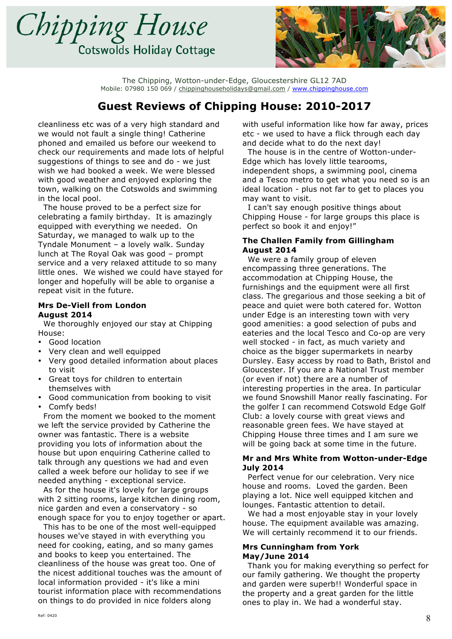



### **Guest Reviews of Chipping House: 2010-2017**

cleanliness etc was of a very high standard and we would not fault a single thing! Catherine phoned and emailed us before our weekend to check our requirements and made lots of helpful suggestions of things to see and do - we just wish we had booked a week. We were blessed with good weather and enjoyed exploring the town, walking on the Cotswolds and swimming in the local pool.

 The house proved to be a perfect size for celebrating a family birthday. It is amazingly equipped with everything we needed. On Saturday, we managed to walk up to the Tyndale Monument – a lovely walk. Sunday lunch at The Royal Oak was good – prompt service and a very relaxed attitude to so many little ones. We wished we could have stayed for longer and hopefully will be able to organise a repeat visit in the future.

#### **Mrs De-Viell from London August 2014**

 We thoroughly enjoyed our stay at Chipping House:

- Good location
- Very clean and well equipped
- Very good detailed information about places to visit
- Great toys for children to entertain themselves with
- Good communication from booking to visit
- Comfy beds!

 From the moment we booked to the moment we left the service provided by Catherine the owner was fantastic. There is a website providing you lots of information about the house but upon enquiring Catherine called to talk through any questions we had and even called a week before our holiday to see if we needed anything - exceptional service.

 As for the house it's lovely for large groups with 2 sitting rooms, large kitchen dining room, nice garden and even a conservatory - so enough space for you to enjoy together or apart.

 This has to be one of the most well-equipped houses we've stayed in with everything you need for cooking, eating, and so many games and books to keep you entertained. The cleanliness of the house was great too. One of the nicest additional touches was the amount of local information provided - it's like a mini tourist information place with recommendations on things to do provided in nice folders along

with useful information like how far away, prices etc - we used to have a flick through each day and decide what to do the next day!

 The house is in the centre of Wotton-under-Edge which has lovely little tearooms, independent shops, a swimming pool, cinema and a Tesco metro to get what you need so is an ideal location - plus not far to get to places you may want to visit.

 I can't say enough positive things about Chipping House - for large groups this place is perfect so book it and enjoy!"

#### **The Challen Family from Gillingham August 2014**

 We were a family group of eleven encompassing three generations. The accommodation at Chipping House, the furnishings and the equipment were all first class. The gregarious and those seeking a bit of peace and quiet were both catered for. Wotton under Edge is an interesting town with very good amenities: a good selection of pubs and eateries and the local Tesco and Co-op are very well stocked - in fact, as much variety and choice as the bigger supermarkets in nearby Dursley. Easy access by road to Bath, Bristol and Gloucester. If you are a National Trust member (or even if not) there are a number of interesting properties in the area. In particular we found Snowshill Manor really fascinating. For the golfer I can recommend Cotswold Edge Golf Club: a lovely course with great views and reasonable green fees. We have stayed at Chipping House three times and I am sure we will be going back at some time in the future.

#### **Mr and Mrs White from Wotton-under-Edge July 2014**

 Perfect venue for our celebration. Very nice house and rooms. Loved the garden. Been playing a lot. Nice well equipped kitchen and lounges. Fantastic attention to detail.

 We had a most enjoyable stay in your lovely house. The equipment available was amazing. We will certainly recommend it to our friends.

#### **Mrs Cunningham from York May/June 2014**

 Thank you for making everything so perfect for our family gathering. We thought the property and garden were superb!! Wonderful space in the property and a great garden for the little ones to play in. We had a wonderful stay.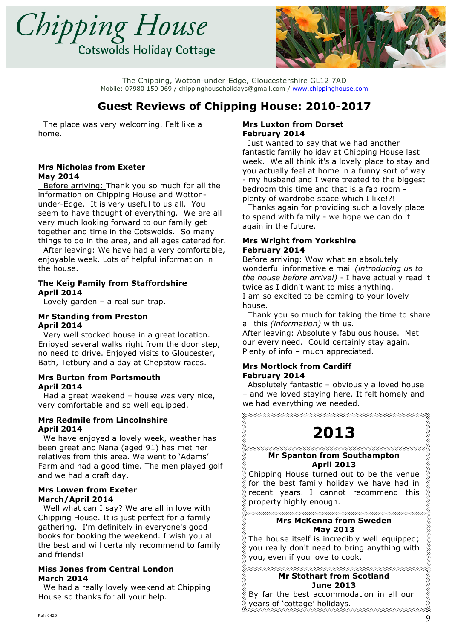



# **Guest Reviews of Chipping House: 2010-2017**

 The place was very welcoming. Felt like a home.

#### **Mrs Nicholas from Exeter May 2014**

 Before arriving: Thank you so much for all the information on Chipping House and Wottonunder-Edge. It is very useful to us all. You seem to have thought of everything. We are all very much looking forward to our family get together and time in the Cotswolds. So many things to do in the area, and all ages catered for. After leaving: We have had a very comfortable, enjoyable week. Lots of helpful information in the house.

#### **The Keig Family from Staffordshire April 2014**

Lovely garden  $-$  a real sun trap.

#### **Mr Standing from Preston April 2014**

 Very well stocked house in a great location. Enjoyed several walks right from the door step, no need to drive. Enjoyed visits to Gloucester, Bath, Tetbury and a day at Chepstow races.

#### **Mrs Burton from Portsmouth April 2014**

 Had a great weekend – house was very nice, very comfortable and so well equipped.

#### **Mrs Redmile from Lincolnshire April 2014**

 We have enjoyed a lovely week, weather has been great and Nana (aged 91) has met her relatives from this area. We went to 'Adams' Farm and had a good time. The men played golf and we had a craft day.

### **Mrs Lowen from Exeter March/April 2014**

 Well what can I say? We are all in love with Chipping House. It is just perfect for a family gathering. I'm definitely in everyone's good books for booking the weekend. I wish you all the best and will certainly recommend to family and friends!

#### **Miss Jones from Central London March 2014**

 We had a really lovely weekend at Chipping House so thanks for all your help.

#### **Mrs Luxton from Dorset February 2014**

 Just wanted to say that we had another fantastic family holiday at Chipping House last week. We all think it's a lovely place to stay and you actually feel at home in a funny sort of way - my husband and I were treated to the biggest bedroom this time and that is a fab room plenty of wardrobe space which I like!?!

 Thanks again for providing such a lovely place to spend with family - we hope we can do it again in the future.

#### **Mrs Wright from Yorkshire February 2014**

Before arriving: Wow what an absolutely wonderful informative e mail *(introducing us to the house before arrival)* - I have actually read it twice as I didn't want to miss anything. I am so excited to be coming to your lovely house.

 Thank you so much for taking the time to share all this *(information)* with us.

After leaving: Absolutely fabulous house. Met our every need. Could certainly stay again. Plenty of info – much appreciated.

### **Mrs Mortlock from Cardiff February 2014**

 Absolutely fantastic – obviously a loved house – and we loved staying here. It felt homely and we had everything we needed.

# **2013**

RAARAA MARAA RAARA MARAA RAARA RAARA MARAA RAARA MARAA HA ∞∞∞∞∞∞∞∞∞∞∞∞∞∞∞∞∞∞∞∞∞∞∞∞∞∞∞∞∞∞∞∞ **Mr Spanton from Southampton**

### **April 2013**

Chipping House turned out to be the venue for the best family holiday we have had in recent years. I cannot recommend this property highly enough.

#### ∞∞∞∞∞∞∞∞∞∞∞∞∞∞∞∞∞∞∞∞∞∞∞∞∞∞∞∞∞∞ **Mrs McKenna from Sweden May 2013**

The house itself is incredibly well equipped; you really don't need to bring anything with you, even if you love to cook.

#### **Mr Stothart from Scotland June 2013**

By far the best accommodation in all our years of 'cottage' holidays.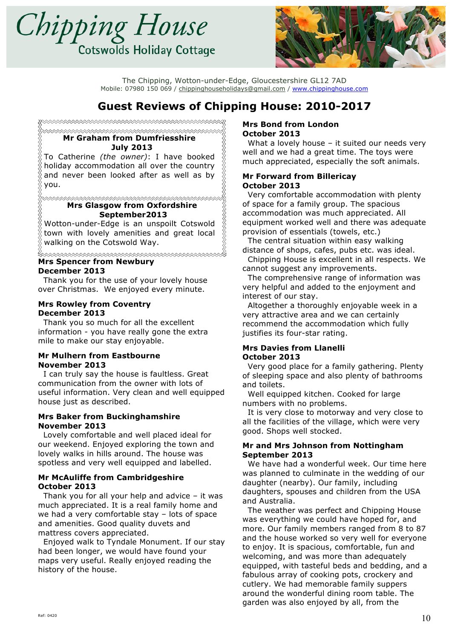



# **Guest Reviews of Chipping House: 2010-2017**

▓⋙⋙⋙⋙⋙⋙⋙⋙⋙⋙⋙⋙⋙⋙ ∞∞∞∞∞∞∞∞∞∞∞∞∞∞∞∞∞∞∞∞∞∞∞∞∞∞∞∞∞∞∞∞ **Mr Graham from Dumfriesshire July 2013**

To Catherine *(the owner)*: I have booked holiday accommodation all over the country and never been looked after as well as by you.

#### **∞∞∞∞∞∞∞∞∞∞∞∞∞∞∞∞∞∞∞∞∞∞∞∞∞∞∞∞∞∞∞∞ Mrs Glasgow from Oxfordshire September2013**

Wotton-under-Edge is an unspoilt Cotswold town with lovely amenities and great local walking on the Cotswold Way.

#### **xxxxxxxxxxxxxxxxxxxxxxxxxxxxxxxxxxx Mrs Spencer from Newbury December 2013**

 Thank you for the use of your lovely house over Christmas. We enjoyed every minute.

#### **Mrs Rowley from Coventry December 2013**

 Thank you so much for all the excellent information - you have really gone the extra mile to make our stay enjoyable.

#### **Mr Mulhern from Eastbourne November 2013**

 I can truly say the house is faultless. Great communication from the owner with lots of useful information. Very clean and well equipped house just as described.

#### **Mrs Baker from Buckinghamshire November 2013**

 Lovely comfortable and well placed ideal for our weekend. Enjoyed exploring the town and lovely walks in hills around. The house was spotless and very well equipped and labelled.

### **Mr McAuliffe from Cambridgeshire October 2013**

 Thank you for all your help and advice – it was much appreciated. It is a real family home and we had a very comfortable stay – lots of space and amenities. Good quality duvets and mattress covers appreciated.

 Enjoyed walk to Tyndale Monument. If our stay had been longer, we would have found your maps very useful. Really enjoyed reading the history of the house.

#### **Mrs Bond from London October 2013**

 What a lovely house – it suited our needs very well and we had a great time. The toys were much appreciated, especially the soft animals.

#### **Mr Forward from Billericay October 2013**

 Very comfortable accommodation with plenty of space for a family group. The spacious accommodation was much appreciated. All equipment worked well and there was adequate provision of essentials (towels, etc.)

 The central situation within easy walking distance of shops, cafes, pubs etc. was ideal.

 Chipping House is excellent in all respects. We cannot suggest any improvements.

 The comprehensive range of information was very helpful and added to the enjoyment and interest of our stay.

 Altogether a thoroughly enjoyable week in a very attractive area and we can certainly recommend the accommodation which fully justifies its four-star rating.

### **Mrs Davies from Llanelli October 2013**

 Very good place for a family gathering. Plenty of sleeping space and also plenty of bathrooms and toilets.

 Well equipped kitchen. Cooked for large numbers with no problems.

 It is very close to motorway and very close to all the facilities of the village, which were very good. Shops well stocked.

### **Mr and Mrs Johnson from Nottingham September 2013**

 We have had a wonderful week. Our time here was planned to culminate in the wedding of our daughter (nearby). Our family, including daughters, spouses and children from the USA and Australia.

 The weather was perfect and Chipping House was everything we could have hoped for, and more. Our family members ranged from 8 to 87 and the house worked so very well for everyone to enjoy. It is spacious, comfortable, fun and welcoming, and was more than adequately equipped, with tasteful beds and bedding, and a fabulous array of cooking pots, crockery and cutlery. We had memorable family suppers around the wonderful dining room table. The garden was also enjoyed by all, from the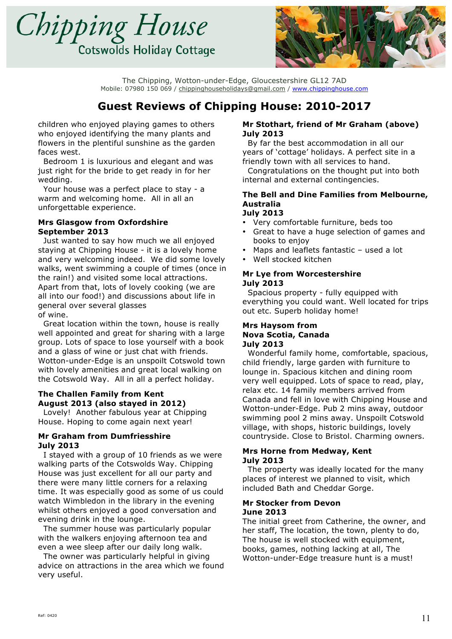



# **Guest Reviews of Chipping House: 2010-2017**

children who enjoyed playing games to others who enjoyed identifying the many plants and flowers in the plentiful sunshine as the garden faces west.

 Bedroom 1 is luxurious and elegant and was just right for the bride to get ready in for her wedding.

 Your house was a perfect place to stay - a warm and welcoming home. All in all an unforgettable experience.

#### **Mrs Glasgow from Oxfordshire September 2013**

 Just wanted to say how much we all enjoyed staying at Chipping House - it is a lovely home and very welcoming indeed. We did some lovely walks, went swimming a couple of times (once in the rain!) and visited some local attractions. Apart from that, lots of lovely cooking (we are all into our food!) and discussions about life in general over several glasses of wine.

 Great location within the town, house is really well appointed and great for sharing with a large group. Lots of space to lose yourself with a book and a glass of wine or just chat with friends. Wotton-under-Edge is an unspoilt Cotswold town with lovely amenities and great local walking on the Cotswold Way. All in all a perfect holiday.

### **The Challen Family from Kent August 2013 (also stayed in 2012)**

 Lovely! Another fabulous year at Chipping House. Hoping to come again next year!

### **Mr Graham from Dumfriesshire July 2013**

 I stayed with a group of 10 friends as we were walking parts of the Cotswolds Way. Chipping House was just excellent for all our party and there were many little corners for a relaxing time. It was especially good as some of us could watch Wimbledon in the library in the evening whilst others enjoyed a good conversation and evening drink in the lounge.

 The summer house was particularly popular with the walkers enjoying afternoon tea and even a wee sleep after our daily long walk.

 The owner was particularly helpful in giving advice on attractions in the area which we found very useful.

### **Mr Stothart, friend of Mr Graham (above) July 2013**

 By far the best accommodation in all our years of 'cottage' holidays. A perfect site in a friendly town with all services to hand.

 Congratulations on the thought put into both internal and external contingencies.

#### **The Bell and Dine Families from Melbourne, Australia July 2013**

### • Very comfortable furniture, beds too

- Great to have a huge selection of games and books to enjoy
- Maps and leaflets fantastic  $-$  used a lot
- Well stocked kitchen

#### **Mr Lye from Worcestershire July 2013**

 Spacious property - fully equipped with everything you could want. Well located for trips out etc. Superb holiday home!

#### **Mrs Haysom from Nova Scotia, Canada July 2013**

 Wonderful family home, comfortable, spacious, child friendly, large garden with furniture to lounge in. Spacious kitchen and dining room very well equipped. Lots of space to read, play, relax etc. 14 family members arrived from Canada and fell in love with Chipping House and Wotton-under-Edge. Pub 2 mins away, outdoor swimming pool 2 mins away. Unspoilt Cotswold village, with shops, historic buildings, lovely countryside. Close to Bristol. Charming owners.

### **Mrs Horne from Medway, Kent July 2013**

 The property was ideally located for the many places of interest we planned to visit, which included Bath and Cheddar Gorge.

### **Mr Stocker from Devon June 2013**

The initial greet from Catherine, the owner, and her staff, The location, the town, plenty to do, The house is well stocked with equipment, books, games, nothing lacking at all, The Wotton-under-Edge treasure hunt is a must!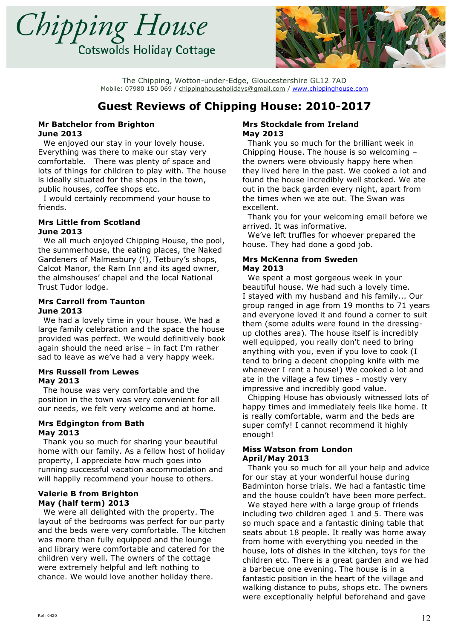



# **Guest Reviews of Chipping House: 2010-2017**

#### **Mr Batchelor from Brighton June 2013**

 We enjoyed our stay in your lovely house. Everything was there to make our stay very comfortable. There was plenty of space and lots of things for children to play with. The house is ideally situated for the shops in the town, public houses, coffee shops etc.

 I would certainly recommend your house to friends.

#### **Mrs Little from Scotland June 2013**

 We all much enjoyed Chipping House, the pool, the summerhouse, the eating places, the Naked Gardeners of Malmesbury (!), Tetbury's shops, Calcot Manor, the Ram Inn and its aged owner, the almshouses' chapel and the local National Trust Tudor lodge.

#### **Mrs Carroll from Taunton June 2013**

 We had a lovely time in your house. We had a large family celebration and the space the house provided was perfect. We would definitively book again should the need arise – in fact I'm rather sad to leave as we've had a very happy week.

### **Mrs Russell from Lewes May 2013**

 The house was very comfortable and the position in the town was very convenient for all our needs, we felt very welcome and at home.

### **Mrs Edgington from Bath May 2013**

 Thank you so much for sharing your beautiful home with our family. As a fellow host of holiday property, I appreciate how much goes into running successful vacation accommodation and will happily recommend your house to others.

#### **Valerie B from Brighton May (half term) 2013**

 We were all delighted with the property. The layout of the bedrooms was perfect for our party and the beds were very comfortable. The kitchen was more than fully equipped and the lounge and library were comfortable and catered for the children very well. The owners of the cottage were extremely helpful and left nothing to chance. We would love another holiday there.

#### **Mrs Stockdale from Ireland May 2013**

 Thank you so much for the brilliant week in Chipping House. The house is so welcoming – the owners were obviously happy here when they lived here in the past. We cooked a lot and found the house incredibly well stocked. We ate out in the back garden every night, apart from the times when we ate out. The Swan was excellent.

 Thank you for your welcoming email before we arrived. It was informative.

 We've left truffles for whoever prepared the house. They had done a good job.

#### **Mrs McKenna from Sweden May 2013**

 We spent a most gorgeous week in your beautiful house. We had such a lovely time. I stayed with my husband and his family... Our group ranged in age from 19 months to 71 years and everyone loved it and found a corner to suit them (some adults were found in the dressingup clothes area). The house itself is incredibly well equipped, you really don't need to bring anything with you, even if you love to cook (I tend to bring a decent chopping knife with me whenever I rent a house!) We cooked a lot and ate in the village a few times - mostly very impressive and incredibly good value.

 Chipping House has obviously witnessed lots of happy times and immediately feels like home. It is really comfortable, warm and the beds are super comfy! I cannot recommend it highly enough!

#### **Miss Watson from London April/May 2013**

 Thank you so much for all your help and advice for our stay at your wonderful house during Badminton horse trials. We had a fantastic time and the house couldn't have been more perfect.

 We stayed here with a large group of friends including two children aged 1 and 5. There was so much space and a fantastic dining table that seats about 18 people. It really was home away from home with everything you needed in the house, lots of dishes in the kitchen, toys for the children etc. There is a great garden and we had a barbecue one evening. The house is in a fantastic position in the heart of the village and walking distance to pubs, shops etc. The owners were exceptionally helpful beforehand and gave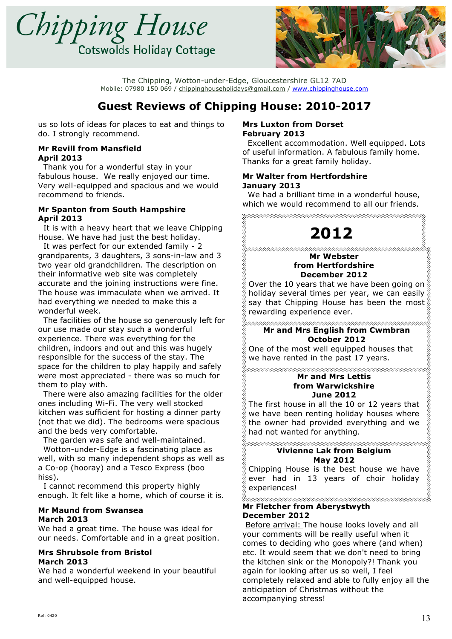



# **Guest Reviews of Chipping House: 2010-2017**

us so lots of ideas for places to eat and things to do. I strongly recommend.

#### **Mr Revill from Mansfield April 2013**

 Thank you for a wonderful stay in your fabulous house. We really enjoyed our time. Very well-equipped and spacious and we would recommend to friends.

#### **Mr Spanton from South Hampshire April 2013**

 It is with a heavy heart that we leave Chipping House. We have had just the best holiday.

 It was perfect for our extended family - 2 grandparents, 3 daughters, 3 sons-in-law and 3 two year old grandchildren. The description on their informative web site was completely accurate and the joining instructions were fine. The house was immaculate when we arrived. It had everything we needed to make this a wonderful week.

 The facilities of the house so generously left for our use made our stay such a wonderful experience. There was everything for the children, indoors and out and this was hugely responsible for the success of the stay. The space for the children to play happily and safely were most appreciated - there was so much for them to play with.

 There were also amazing facilities for the older ones including Wi-Fi. The very well stocked kitchen was sufficient for hosting a dinner party (not that we did). The bedrooms were spacious and the beds very comfortable.

The garden was safe and well-maintained.

 Wotton-under-Edge is a fascinating place as well, with so many independent shops as well as a Co-op (hooray) and a Tesco Express (boo hiss).

 I cannot recommend this property highly enough. It felt like a home, which of course it is.

#### **Mr Maund from Swansea March 2013**

We had a great time. The house was ideal for our needs. Comfortable and in a great position.

### **Mrs Shrubsole from Bristol March 2013**

We had a wonderful weekend in your beautiful and well-equipped house.

#### **Mrs Luxton from Dorset February 2013**

 Excellent accommodation. Well equipped. Lots of useful information. A fabulous family home. Thanks for a great family holiday.

### **Mr Walter from Hertfordshire January 2013**

 We had a brilliant time in a wonderful house, which we would recommend to all our friends.

\*\*\*\*\*\*\*\*\*\*\*\*\*\*\*\*\*\*\*\*\*\*\*\*\*\*\*\*\*\*\*\*\*\*\*\*\*\*

**2012**

#### **Mr Webster from Hertfordshire December 2012**

Over the 10 years that we have been going on  $\frac{8}{9}$ holiday several times per year, we can easily say that Chipping House has been the most rewarding experience ever.

**Mr and Mrs English from Cwmbran**

**October 2012**

One of the most well equipped houses that we have rented in the past 17 years.

<del>xxxxxxxxxxxxxxxxxxxxxxxxxxxxxxxx</del> **Mr and Mrs Lettis** 

#### **from Warwickshire June 2012**

The first house in all the 10 or 12 years that we have been renting holiday houses where the owner had provided everything and we had not wanted for anything.

**xxxxxxxxxxxxxxxxxxxxxxxxxxxxxxxxxxx Vivienne Lak from Belgium May 2012**

Chipping House is the best house we have ever had in 13 years of choir holiday experiences!

#### \*\*\*\*\*\*\*\*\*\*\*\*\*\*\*\*\*\*\*\*\*\*\*\*\*\*\*\*\*\* **Mr Fletcher from Aberystwyth December 2012**

**Before arrival:** The house looks lovely and all your comments will be really useful when it comes to deciding who goes where (and when) etc. It would seem that we don't need to bring the kitchen sink or the Monopoly?! Thank you again for looking after us so well, I feel completely relaxed and able to fully enjoy all the anticipation of Christmas without the accompanying stress!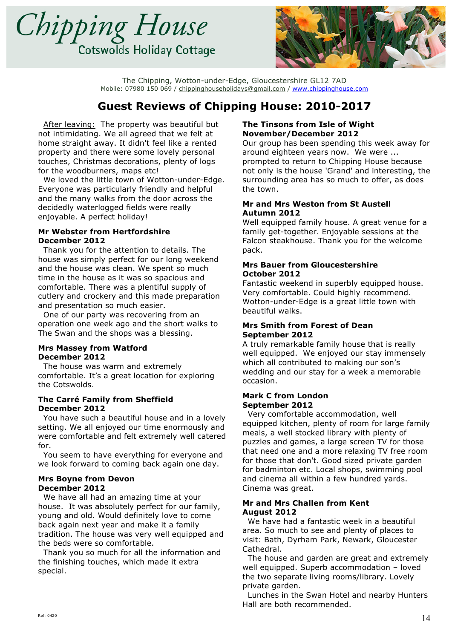



# **Guest Reviews of Chipping House: 2010-2017**

 After leaving: The property was beautiful but not intimidating. We all agreed that we felt at home straight away. It didn't feel like a rented property and there were some lovely personal touches, Christmas decorations, plenty of logs for the woodburners, maps etc!

 We loved the little town of Wotton-under-Edge. Everyone was particularly friendly and helpful and the many walks from the door across the decidedly waterlogged fields were really enjoyable. A perfect holiday!

#### **Mr Webster from Hertfordshire December 2012**

 Thank you for the attention to details. The house was simply perfect for our long weekend and the house was clean. We spent so much time in the house as it was so spacious and comfortable. There was a plentiful supply of cutlery and crockery and this made preparation and presentation so much easier.

 One of our party was recovering from an operation one week ago and the short walks to The Swan and the shops was a blessing.

### **Mrs Massey from Watford December 2012**

 The house was warm and extremely comfortable. It's a great location for exploring the Cotswolds.

### **The Carré Family from Sheffield December 2012**

 You have such a beautiful house and in a lovely setting. We all enjoyed our time enormously and were comfortable and felt extremely well catered for.

 You seem to have everything for everyone and we look forward to coming back again one day.

#### **Mrs Boyne from Devon December 2012**

 We have all had an amazing time at your house. It was absolutely perfect for our family, young and old. Would definitely love to come back again next year and make it a family tradition. The house was very well equipped and the beds were so comfortable.

 Thank you so much for all the information and the finishing touches, which made it extra special.

### **The Tinsons from Isle of Wight November/December 2012**

Our group has been spending this week away for around eighteen years now. We were ... prompted to return to Chipping House because not only is the house 'Grand' and interesting, the surrounding area has so much to offer, as does the town.

#### **Mr and Mrs Weston from St Austell Autumn 2012**

Well equipped family house. A great venue for a family get-together. Enjoyable sessions at the Falcon steakhouse. Thank you for the welcome pack.

### **Mrs Bauer from Gloucestershire October 2012**

Fantastic weekend in superbly equipped house. Very comfortable. Could highly recommend. Wotton-under-Edge is a great little town with beautiful walks.

#### **Mrs Smith from Forest of Dean September 2012**

A truly remarkable family house that is really well equipped. We enjoyed our stay immensely which all contributed to making our son's wedding and our stay for a week a memorable occasion.

#### **Mark C from London September 2012**

 Very comfortable accommodation, well equipped kitchen, plenty of room for large family meals, a well stocked library with plenty of puzzles and games, a large screen TV for those that need one and a more relaxing TV free room for those that don't. Good sized private garden for badminton etc. Local shops, swimming pool and cinema all within a few hundred yards. Cinema was great.

### **Mr and Mrs Challen from Kent August 2012**

 We have had a fantastic week in a beautiful area. So much to see and plenty of places to visit: Bath, Dyrham Park, Newark, Gloucester Cathedral.

 The house and garden are great and extremely well equipped. Superb accommodation – loved the two separate living rooms/library. Lovely private garden.

 Lunches in the Swan Hotel and nearby Hunters Hall are both recommended.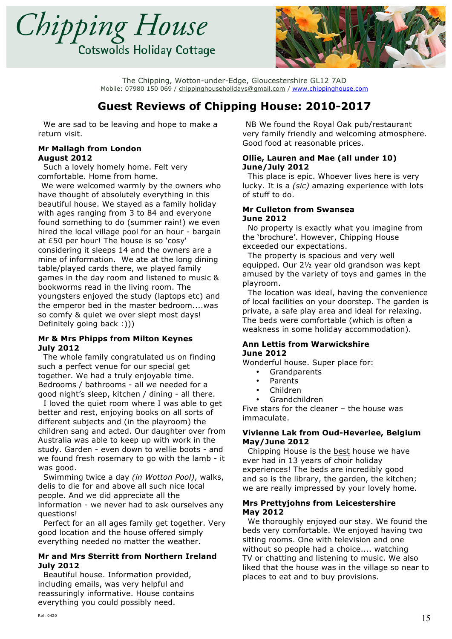



# **Guest Reviews of Chipping House: 2010-2017**

 We are sad to be leaving and hope to make a return visit.

#### **Mr Mallagh from London August 2012**

 Such a lovely homely home. Felt very comfortable. Home from home.

 We were welcomed warmly by the owners who have thought of absolutely everything in this beautiful house. We stayed as a family holiday with ages ranging from 3 to 84 and everyone found something to do (summer rain!) we even hired the local village pool for an hour - bargain at £50 per hour! The house is so 'cosy' considering it sleeps 14 and the owners are a mine of information. We ate at the long dining table/played cards there, we played family games in the day room and listened to music & bookworms read in the living room. The youngsters enjoyed the study (laptops etc) and the emperor bed in the master bedroom....was so comfy & quiet we over slept most days! Definitely going back :)))

#### **Mr & Mrs Phipps from Milton Keynes July 2012**

 The whole family congratulated us on finding such a perfect venue for our special get together. We had a truly enjoyable time. Bedrooms / bathrooms - all we needed for a good night's sleep, kitchen / dining - all there.

 I loved the quiet room where I was able to get better and rest, enjoying books on all sorts of different subjects and (in the playroom) the children sang and acted. Our daughter over from Australia was able to keep up with work in the study. Garden - even down to wellie boots - and we found fresh rosemary to go with the lamb - it was good.

 Swimming twice a day *(in Wotton Pool)*, walks, delis to die for and above all such nice local people. And we did appreciate all the information - we never had to ask ourselves any questions!

 Perfect for an all ages family get together. Very good location and the house offered simply everything needed no matter the weather.

#### **Mr and Mrs Sterritt from Northern Ireland July 2012**

 Beautiful house. Information provided, including emails, was very helpful and reassuringly informative. House contains everything you could possibly need.

 NB We found the Royal Oak pub/restaurant very family friendly and welcoming atmosphere. Good food at reasonable prices.

### **Ollie, Lauren and Mae (all under 10) June/July 2012**

 This place is epic. Whoever lives here is very lucky. It is a *(sic)* amazing experience with lots of stuff to do.

#### **Mr Culleton from Swansea June 2012**

 No property is exactly what you imagine from the 'brochure'. However, Chipping House exceeded our expectations.

 The property is spacious and very well equipped. Our 2½ year old grandson was kept amused by the variety of toys and games in the playroom.

 The location was ideal, having the convenience of local facilities on your doorstep. The garden is private, a safe play area and ideal for relaxing. The beds were comfortable (which is often a weakness in some holiday accommodation).

#### **Ann Lettis from Warwickshire June 2012**

Wonderful house. Super place for:

- **Grandparents**
- Parents
- Children
- Grandchildren

Five stars for the cleaner – the house was immaculate.

### **Vivienne Lak from Oud-Heverlee, Belgium May/June 2012**

Chipping House is the best house we have ever had in 13 years of choir holiday experiences! The beds are incredibly good and so is the library, the garden, the kitchen; we are really impressed by your lovely home.

#### **Mrs Prettyjohns from Leicestershire May 2012**

 We thoroughly enjoyed our stay. We found the beds very comfortable. We enjoyed having two sitting rooms. One with television and one without so people had a choice.... watching TV or chatting and listening to music. We also liked that the house was in the village so near to places to eat and to buy provisions.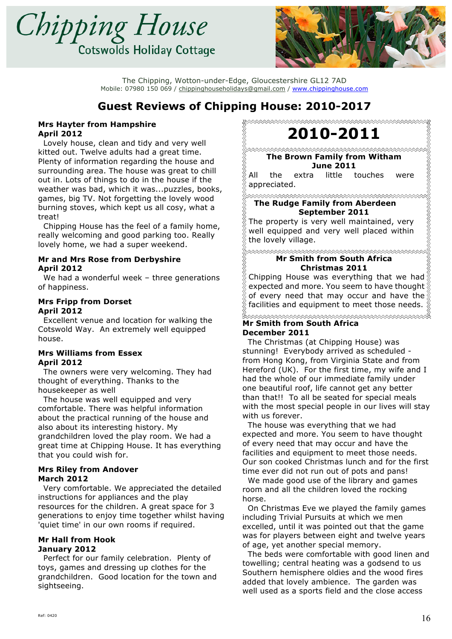



# **Guest Reviews of Chipping House: 2010-2017**

#### **Mrs Hayter from Hampshire April 2012**

 Lovely house, clean and tidy and very well kitted out. Twelve adults had a great time. Plenty of information regarding the house and surrounding area. The house was great to chill out in. Lots of things to do in the house if the weather was bad, which it was...puzzles, books, games, big TV. Not forgetting the lovely wood burning stoves, which kept us all cosy, what a treat!

 Chipping House has the feel of a family home, really welcoming and good parking too. Really lovely home, we had a super weekend.

#### **Mr and Mrs Rose from Derbyshire April 2012**

 We had a wonderful week – three generations of happiness.

#### **Mrs Fripp from Dorset April 2012**

 Excellent venue and location for walking the Cotswold Way. An extremely well equipped house.

#### **Mrs Williams from Essex April 2012**

 The owners were very welcoming. They had thought of everything. Thanks to the housekeeper as well

 The house was well equipped and very comfortable. There was helpful information about the practical running of the house and also about its interesting history. My grandchildren loved the play room. We had a great time at Chipping House. It has everything that you could wish for.

#### **Mrs Riley from Andover March 2012**

 Very comfortable. We appreciated the detailed instructions for appliances and the play resources for the children. A great space for 3 generations to enjoy time together whilst having 'quiet time' in our own rooms if required.

#### **Mr Hall from Hook January 2012**

 Perfect for our family celebration. Plenty of toys, games and dressing up clothes for the grandchildren. Good location for the town and sightseeing.

**2010-2011**

### **The Brown Family from Witham June 2011**

All the extra little touches were appreciated.

**The Rudge Family from Aberdeen September 2011**

The property is very well maintained, very well equipped and very well placed within the lovely village.

### **Mr Smith from South Africa Christmas 2011**

Chipping House was everything that we had expected and more. You seem to have thought of every need that may occur and have the facilities and equipment to meet those needs.

#### ℅⋘⋘⋘⋘⋘⋘⋘⋘⋘⋘⋘⋘⋘⋘⋘ **Mr Smith from South Africa December 2011**

 The Christmas (at Chipping House) was stunning! Everybody arrived as scheduled from Hong Kong, from Virginia State and from Hereford (UK). For the first time, my wife and I had the whole of our immediate family under one beautiful roof, life cannot get any better than that!! To all be seated for special meals with the most special people in our lives will stay with us forever.

 The house was everything that we had expected and more. You seem to have thought of every need that may occur and have the facilities and equipment to meet those needs. Our son cooked Christmas lunch and for the first time ever did not run out of pots and pans!

 We made good use of the library and games room and all the children loved the rocking horse.

 On Christmas Eve we played the family games including Trivial Pursuits at which we men excelled, until it was pointed out that the game was for players between eight and twelve years of age, yet another special memory.

 The beds were comfortable with good linen and towelling; central heating was a godsend to us Southern hemisphere oldies and the wood fires added that lovely ambience. The garden was well used as a sports field and the close access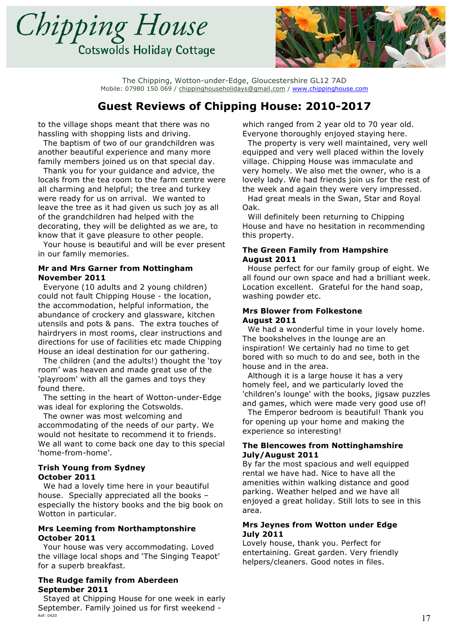



### **Guest Reviews of Chipping House: 2010-2017**

to the village shops meant that there was no hassling with shopping lists and driving.

 The baptism of two of our grandchildren was another beautiful experience and many more family members joined us on that special day.

 Thank you for your guidance and advice, the locals from the tea room to the farm centre were all charming and helpful; the tree and turkey were ready for us on arrival. We wanted to leave the tree as it had given us such joy as all of the grandchildren had helped with the decorating, they will be delighted as we are, to know that it gave pleasure to other people.

 Your house is beautiful and will be ever present in our family memories.

#### **Mr and Mrs Garner from Nottingham November 2011**

 Everyone (10 adults and 2 young children) could not fault Chipping House - the location, the accommodation, helpful information, the abundance of crockery and glassware, kitchen utensils and pots & pans. The extra touches of hairdryers in most rooms, clear instructions and directions for use of facilities etc made Chipping House an ideal destination for our gathering.

 The children (and the adults!) thought the 'toy room' was heaven and made great use of the 'playroom' with all the games and toys they found there.

 The setting in the heart of Wotton-under-Edge was ideal for exploring the Cotswolds.

 The owner was most welcoming and accommodating of the needs of our party. We would not hesitate to recommend it to friends. We all want to come back one day to this special 'home-from-home'.

#### **Trish Young from Sydney October 2011**

 We had a lovely time here in your beautiful house. Specially appreciated all the books – especially the history books and the big book on Wotton in particular.

#### **Mrs Leeming from Northamptonshire October 2011**

 Your house was very accommodating. Loved the village local shops and 'The Singing Teapot' for a superb breakfast.

### **The Rudge family from Aberdeen September 2011**

Ref: 0420  $17$  Stayed at Chipping House for one week in early September. Family joined us for first weekend -

which ranged from 2 year old to 70 year old. Everyone thoroughly enjoyed staying here.

 The property is very well maintained, very well equipped and very well placed within the lovely village. Chipping House was immaculate and very homely. We also met the owner, who is a lovely lady. We had friends join us for the rest of the week and again they were very impressed.

 Had great meals in the Swan, Star and Royal Oak.

 Will definitely been returning to Chipping House and have no hesitation in recommending this property.

#### **The Green Family from Hampshire August 2011**

 House perfect for our family group of eight. We all found our own space and had a brilliant week. Location excellent. Grateful for the hand soap, washing powder etc.

#### **Mrs Blower from Folkestone August 2011**

 We had a wonderful time in your lovely home. The bookshelves in the lounge are an inspiration! We certainly had no time to get bored with so much to do and see, both in the house and in the area.

 Although it is a large house it has a very homely feel, and we particularly loved the 'children's lounge' with the books, jigsaw puzzles and games, which were made very good use of!

 The Emperor bedroom is beautiful! Thank you for opening up your home and making the experience so interesting!

#### **The Blencowes from Nottinghamshire July/August 2011**

By far the most spacious and well equipped rental we have had. Nice to have all the amenities within walking distance and good parking. Weather helped and we have all enjoyed a great holiday. Still lots to see in this area.

#### **Mrs Jeynes from Wotton under Edge July 2011**

Lovely house, thank you. Perfect for entertaining. Great garden. Very friendly helpers/cleaners. Good notes in files.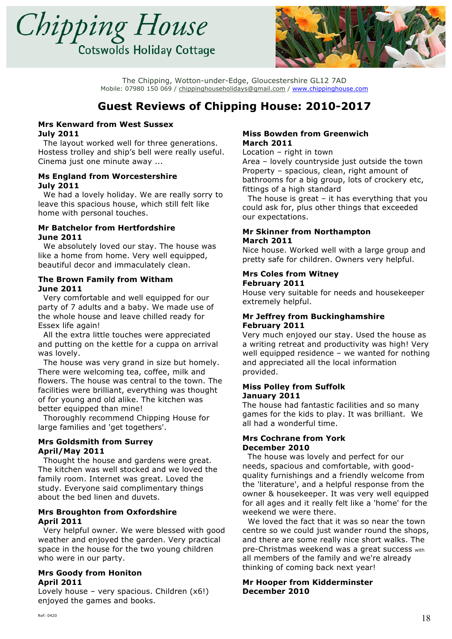



### **Guest Reviews of Chipping House: 2010-2017**

#### **Mrs Kenward from West Sussex July 2011**

 The layout worked well for three generations. Hostess trolley and ship's bell were really useful. Cinema just one minute away ...

### **Ms England from Worcestershire July 2011**

 We had a lovely holiday. We are really sorry to leave this spacious house, which still felt like home with personal touches.

#### **Mr Batchelor from Hertfordshire June 2011**

 We absolutely loved our stay. The house was like a home from home. Very well equipped, beautiful decor and immaculately clean.

### **The Brown Family from Witham June 2011**

 Very comfortable and well equipped for our party of 7 adults and a baby. We made use of the whole house and leave chilled ready for Essex life again!

 All the extra little touches were appreciated and putting on the kettle for a cuppa on arrival was lovely.

 The house was very grand in size but homely. There were welcoming tea, coffee, milk and flowers. The house was central to the town. The facilities were brilliant, everything was thought of for young and old alike. The kitchen was better equipped than mine!

 Thoroughly recommend Chipping House for large families and 'get togethers'.

#### **Mrs Goldsmith from Surrey April/May 2011**

 Thought the house and gardens were great. The kitchen was well stocked and we loved the family room. Internet was great. Loved the study. Everyone said complimentary things about the bed linen and duvets.

#### **Mrs Broughton from Oxfordshire April 2011**

 Very helpful owner. We were blessed with good weather and enjoyed the garden. Very practical space in the house for the two young children who were in our party.

#### **Mrs Goody from Honiton April 2011**

Lovely house – very spacious. Children (x6!) enjoyed the games and books.

#### **Miss Bowden from Greenwich March 2011**

Location – right in town

Area – lovely countryside just outside the town Property – spacious, clean, right amount of bathrooms for a big group, lots of crockery etc, fittings of a high standard

The house is great  $-$  it has everything that you could ask for, plus other things that exceeded our expectations.

#### **Mr Skinner from Northampton March 2011**

Nice house. Worked well with a large group and pretty safe for children. Owners very helpful.

#### **Mrs Coles from Witney February 2011**

House very suitable for needs and housekeeper extremely helpful.

#### **Mr Jeffrey from Buckinghamshire February 2011**

Very much enjoyed our stay. Used the house as a writing retreat and productivity was high! Very well equipped residence – we wanted for nothing and appreciated all the local information provided.

#### **Miss Polley from Suffolk January 2011**

The house had fantastic facilities and so many games for the kids to play. It was brilliant. We all had a wonderful time.

#### **Mrs Cochrane from York December 2010**

The house was lovely and perfect for our needs, spacious and comfortable, with goodquality furnishings and a friendly welcome from the 'literature', and a helpful response from the owner & housekeeper. It was very well equipped for all ages and it really felt like a 'home' for the weekend we were there.

 We loved the fact that it was so near the town centre so we could just wander round the shops, and there are some really nice short walks. The pre-Christmas weekend was a great success with all members of the family and we're already thinking of coming back next year!

### **Mr Hooper from Kidderminster December 2010**